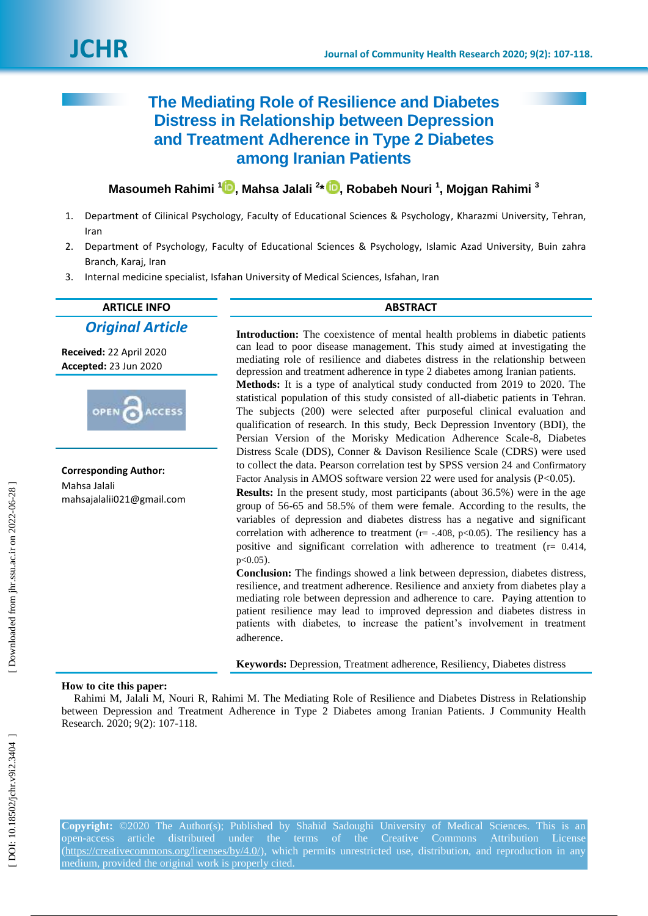# **The Mediating Role of Resilience and Diabetes Distress in Relationship between Depression and Treatment Adherence in Type 2 Diabetes among Iranian Patients**

**Masoumeh Rahimi [1](https://orcid.org/0000-0003-3350-7118) , Mahsa Jalali 2 \* , R obabeh Nouri 1 , Mojgan Rahimi 3**

- 1. Department of Cilinical Psychology, Faculty of Educational Sciences & Psychology , Kharazmi University, Tehran, Iran
- 2. Department of Psychology, Faculty of Educational Sciences & Psychology, Islamic Azad University, Buin zahra Branch, Karaj, Iran
- 3. Internal medicine specialist, Isfahan University of Medical Sciences, Isfahan, Iran

# **ARTICLE INFO ABSTRACT**

*Original Article*

**Received:** 22 April 2020 **Accepted:** 23 Jun 2020



**Corresponding Author:** Mahsa Jalali mahsajalalii021@gmail.com

**Introduction:** The coexistence of mental health problems in diabetic patients can lead to poor disease management. This study aimed at investigating the mediating role of resilience and diabetes distress in the relationship between depression and treatment adherence in type 2 diabetes among Iranian patients. **Methods:** It is a type of analytical study conducted from 2019 to 2020. The statistical population of this study consisted of all -diabetic patients in Tehran.

The subjects (200) were selected after purposeful clinical evaluation and qualification of research. In this study, Beck Depression Inventory (BDI), the Persian Version of the Morisky Medication Adherence Scale-8, Diabetes [Distress Scale \(DDS\),](https://behavioraldiabetes.org/scales-and-measures/#1448434304099-9078f27c-4106) Conner & Davison Resilience Scale (CDRS) were used to collect the data. Pearson correlation test by SPSS version 24 and Confirmatory Factor Analysis in AMOS software version 22 were used for analysis (P<0.05).

**Results:** In the present study, most participants (about 36.5%) were in the age group of 56 -65 and 58.5% of them were female. According to the results, the variables of depression and diabetes distress has a negative and significant correlation with adherence to treatment  $(r = -.408, p < 0.05)$ . The resiliency has a positive and significant correlation with adherence to treatment ( $r = 0.414$ ,  $p < 0.05$ ).

**Conclusion:** The findings showed a link between depression, diabetes distress, resilience, and treatment adherence. Resilience and anxiety from diabetes play a mediating role between depression and adherence to care. Paying attention to patient resilience may lead to improved depression and diabetes distress in patients with diabetes, to increase the patient's involvement in treatment adherence .

**Keywords:** Depression, Treatment adherence, Resiliency, Diabetes distress

#### **How to cite this paper:**

Rahimi M, Jalali M, Nouri R, Rahimi M. The Mediating Role of Resilience and Diabetes Distress in Relationship between Depression and Treatment Adherence in Type 2 Diabetes among Iranian Patients . J Community Health Research. 2020; 9(2): 107-118.

**Copyright:** ©2020 The Author(s); Published by Shahid Sadoughi University of Medical Sciences. This is an open-access article distributed under the terms of the Creative Commons Attribution License [\(https://creativecommons.org/licenses/by/4.0/\)](https://creativecommons.org/licenses/by/4.0/), which permits unrestricted use, distribution, and reproduction in any medium, provided the original work is properly cited.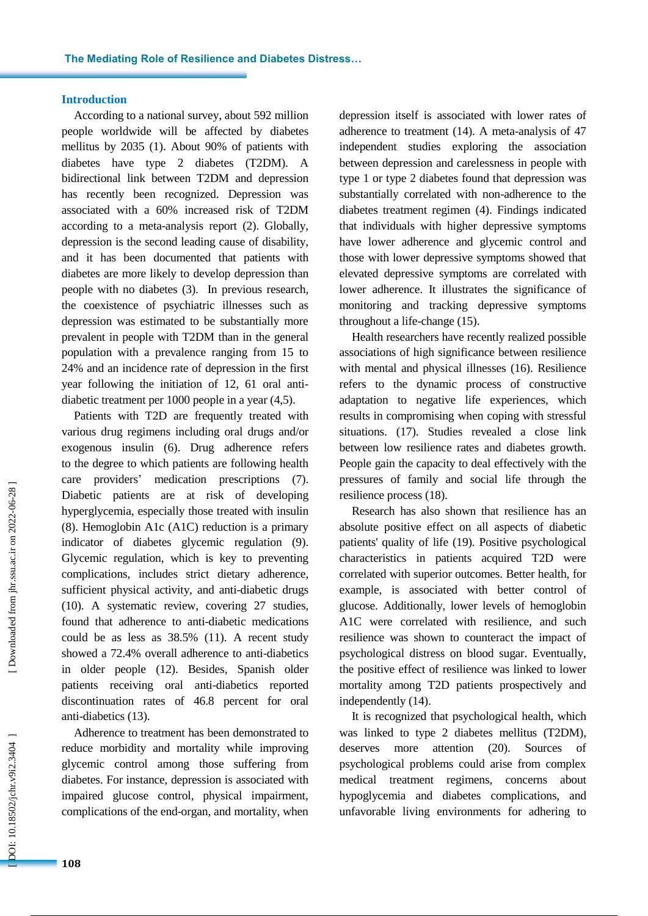#### **Introduction**

According to a national survey, about 592 million people worldwide will be affected by diabetes mellitus by 2035 ( 1). About 90 % of patients with diabetes have type 2 diabetes (T2DM). A bidirectional link between T2DM and depression has recently been recognized. Depression was associated with a 60 % increased risk of T2DM according to a meta -analysis report ( 2). Globally, depression is the second leading cause of disability, and it has been documented that patients with diabetes are more likely to develop depression than people with no diabetes (3). In previous research, the coexistence of psychiatric illnesses such as depression was estimated to be substantially more prevalent in people with T2DM than in the general population with a prevalence ranging from 15 to 24 % and an incidence rate of depression in the first year following the initiation of 12, 61 oral anti diabetic treatment per 1000 people in a year (4,5).

Patients with T2D are frequently treated with various drug regimens including oral drugs and/or exogenous insulin (6). Drug adherence refers to the degree to which patients are following health care providers ' medication prescriptions (7). Diabetic patients are at risk of developing hyperglycemia, especially those treated with insulin (8). Hemoglobin A1c (A1C) reduction is a primary indicator of diabetes glycemic regulation ( 9). Glycemic regulation, which is key to preventing complications, includes strict dietary adherence, sufficient physical activity, and anti-diabetic drugs (10). A systematic review , covering 27 studies , found that adherence to anti -diabetic medications could be as less as 38.5 % (11) . A recent study showed a 72.4 % overall adherence to anti -diabetics in older people [\(12\)](https://www.ncbi.nlm.nih.gov/pmc/articles/PMC6597679/#B27). Besides , Spanish older patients receiving oral anti -diabetics reported discontinuation rates of 46.8 percent for oral anti -diabetics [\(13\)](https://www.ncbi.nlm.nih.gov/pmc/articles/PMC6597679/#B38).

Adherence to treatment has been demonstrated to reduce morbidity and mortality while improving glycemic control among those suffering from diabetes. For instance , depression is associated with impaired glucose control, physical impairment, complications of the end -organ, and mortality, when

depression itself is associated with lower rates of adherence to treatment (14). A meta -analysis of 47 independent studies exploring the association between depression and carelessness in people with type 1 or type 2 diabetes found that depression was substantially correlated with non -adherence to the diabetes treatment regimen (4). Findings indicated that individuals with higher depressive symptoms have lower adherence and glycemic control and those with lower depressive symptoms showed that elevated depressive symptoms are correlated with lower adherence. It illustrates the significance of monitoring and tracking depressive symptoms throughout a life -change (15).

Health researchers have recently realized possible associations of high significance between resilience with mental and physical illnesses (16). Resilience refers to the dynamic process of constructive adaptation to negative life experiences, which results in compromising when coping with stressful situations. (17 ) . Studies revealed a close link between low resilience rates and diabetes growth. People gain the capacity to deal effectively with the pressures of family and social life through the resilience process (18 ) .

Research has also shown that resilience has an absolute positive effect on all aspects of diabetic patients' quality of life (19). Positive psychological characteristics in patients acquired T2D were correlated with superior outcomes. Better health, for example, is associated with better control of glucose. Additionally, lower levels of hemoglobin A1C were correlated with resilience, and such resilience was shown to counteract the impact of psychological distress on blood sugar. Eventually, the positive effect of resilience was linked to lower mortality among T2D patients prospectively and independently (14).

It is recognized that psychological health , which was linked to type 2 diabetes mellitus (T2DM) , deserves more attention (20). Sources psychological problems could arise from complex medical treatment regimens, concerns about hypoglycemia and diabetes complications, and unfavorable living environments for adhering to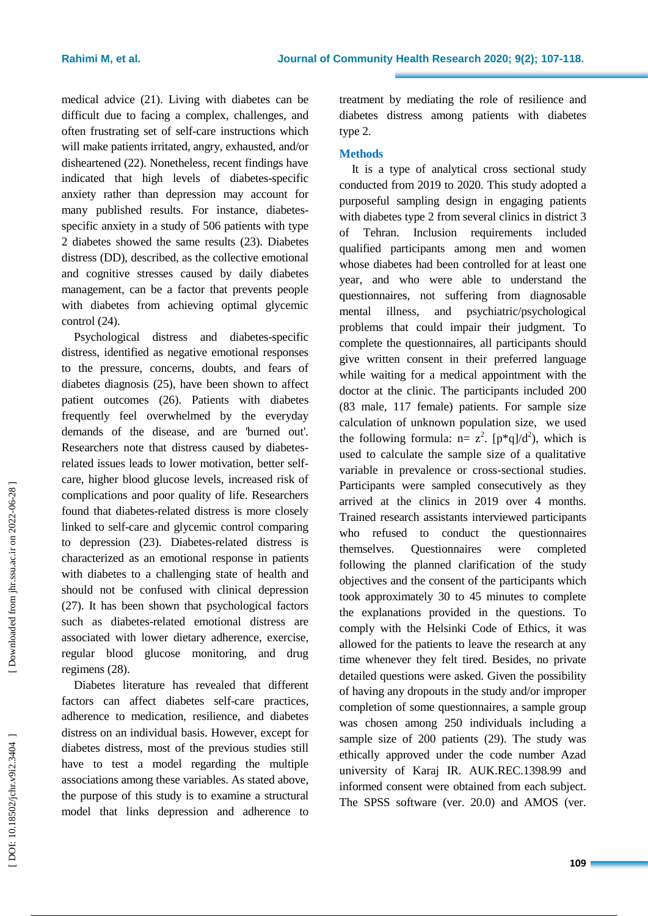medical advice (21 ) . Living with diabetes can be difficult due to facing a complex, challenges, and often frustrating set of self-care instructions which will make patients irritated, angry, exhausted , and/or disheartened (22 ) . Nonetheless, recent findings have indicated that high levels of diabetes -specific anxiety rather than depression may account for many published results. For instance, diabetes specific anxiety in a study of 506 patients with type 2 diabetes showed the same results (23 ) . Diabetes distress (DD), described, as the collective emotional and cognitive stresses caused by daily diabetes management, can be a factor that prevents people with diabetes from achieving optimal glycemic control (24).

Psychological distress and diabetes -specific distress, identified as negative emotional responses to the pressure, concerns, doubts, and fears of diabetes diagnosis (25), have been shown to affect patient outcomes (26). Patients with diabetes frequently feel overwhelmed by the everyday demands of the disease, and are 'burned out' . Researchers note that distress caused by diabetes related issues leads to lower motivation, better selfcare, higher blood glucose levels, increased risk of complications and poor quality of life . Researchers found that diabetes -related distress is more closely linked to self-care and glycemic control comparing to depression (23). Diabetes -related distress is characterized as an emotional response in patients with diabetes to a challenging state of health and should not be confused with clinical depression (27). It has been shown that psychological factors such as diabetes -related emotional distress are associated with lower dietary adherence, exercise, regular blood glucose monitoring, and drug regimens (28).

Diabetes literature has revealed that different factors can affect diabetes self-care practices, adherence to medication, resilience , and diabetes distress on an individual basis. However, except for diabetes distress, most of the previous studies still have to test a model regarding the multiple associations among these variables. As stated above, the purpose of this study is to examine a structural model that links depression and adherence to treatment by mediating the role of resilience and diabetes distress among patients with diabetes type 2.

# **Methods**

It is a type of analytical cross sectional study conducted from 2019 to 2020 . This study adopted a purposeful sampling design in engaging patients with diabetes type 2 from several clinics in district 3 of Tehran. Inclusion requirements included qualified participants among men and women whose diabetes had been controlled for at least one year, and who were able to understand the questionnaires, not suffering from diagnosable mental illness, and psychiatric/psychological problems that could impair their judgment . To complete the questionnaires, all participants should give written consent in their preferred language while waiting for a medical appointment with the doctor at the clinic. The participants included 200 (83 male , 117 female ) patients. For sample size calculation of unknown population size, we used the following formula:  $n = z^2$ .  $[p^*q]/d^2$ , which is used to calculate the sample size of a qualitative variable in prevalence or cross -sectional studies . Participants were sampled consecutively as they arrived at the clinics in 2019 over 4 months . Trained research assistants interviewed participants who refused to conduct the questionnaires themselves. Questionnaires were completed following the planned clarification of the study objectives and the consent of the participants which took approximately 30 to 45 minutes to complete the explanations provided in the questions. To comply with the Helsinki Code of Ethics, it was allowed for the patients to leave the research at any time whenever they felt tired . Besides, no private detailed questions were asked. Given the possibility of having any dropouts in the study and/or improper completion of some questionnaires, a sample group was chosen among 250 individuals including a sample size of 200 patients (29). The study was ethically approved under the code number Azad university of Karaj IR. AUK.REC.1398.99 and informed consent were obtained from each subject. The SPSS software (ver. 20.0) and AMOS (ver.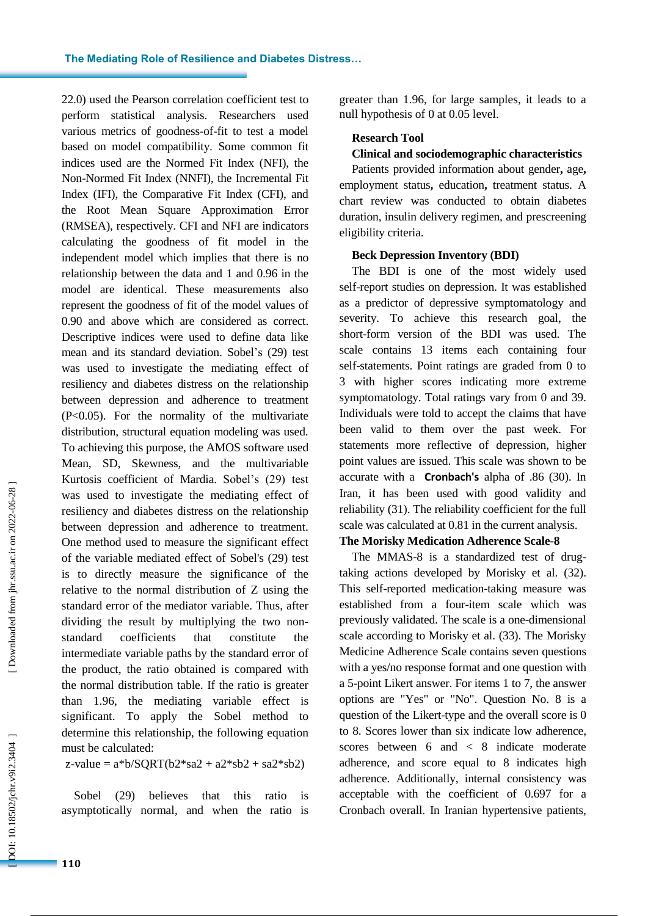22.0) used the Pearson correlation coefficient test to perform statistical analysis . Researchers use d various metrics of goodness -of-fit to test a model based on model compatibility. Some common fit indices used are the Normed Fit Index (NFI), the Non -Normed Fit Index (NNFI), the Incremental Fit Index (IFI), the Comparative Fit Index (CFI), and the Root Mean Square Approximation Error (RMSEA), respectively. CFI and NFI are indicators calculating the goodness of fit model in the independent model which implies that there is no relationship between the data and 1 and 0.96 in the model are identical. These measurements also represent the goodness of fit of the model values of 0.90 and above which are considered as correct. Descriptive indices were used to define data like mean and its standard deviation . Sobel's (29) test was used to investigate the mediating effect of resiliency and d iabetes distress on the relationship between depression and adherence to treatment (P<0.05). For the normality of the multivariate distribution, structural equation modeling was used. To achieving this purpose, the AMOS software used Mean, SD, Skewness, and the multivariable Kurtosis coefficient of Mardia. Sobel's (29) test was used to investigate the mediating effect of resiliency and diabetes distress on the relationship between depression and adherence to treatment. One method used to measure the significant effect of the variable mediated effect of Sobel's (29) test is to directly measure the significance of the relative to the normal distribution of Z using the standard error of the mediator variable. Thus, after dividing the result by multiplying the two non standard coefficients that constitute the intermediate variable paths by the standard error of the product, the ratio obtained is compared with the normal distribution table. If the ratio is greater than 1.96, the mediating variable effect is significant. To apply the Sobel method to determine this relationship, the following equation must be calculated:

#### $z$ -value =  $a * b/SQRT(b2 * sa2 + a2 * sb2 + sa2 * sb2)$

Sobel (29) believes that this ratio is asymptotically normal, and when the ratio is greater than 1.96, for large samples, it leads to a null hypothesis of 0 at 0.05 level.

# **Research Tool**

### **Clinical and sociodemographic characteristics**

Patients provided information about gender **,** age **,** employment status **,** education **,** treatment status. A chart review was conducted to obtain diabetes duration, insulin delivery regimen, and prescreening eligibility criteria.

#### **Beck Depression Inventory (BDI)**

The BDI is one of the most widely used self-report studies on depression. It was established as a predictor of depressive symptomatology and severity. To achieve this research goal , the short -form version of the BDI was used. The scale contains 13 items each containing four self-statements. Point ratings are graded from 0 to 3 with higher scores indicating more extreme symptomatology. Total ratings vary from 0 and 39. Individuals were told to accept the claims that have been valid to them over the past week . For statements more reflective of depression, higher point values are issued. This scale was shown to be accurate with a **Cronbach's** alpha of .86 (30). In Iran, it has been used with good validity and reliability (31). The reliability coefficient for the full scale was calculated at 0.81 in the current analysis.

#### **The Morisky Medication Adherence Scale - 8**

The MMAS-8 is a standardized test of drugtaking actions developed by Morisky et al . (3 2). This self-reported medication -taking measure was established from a four -item scale which was previously validated. The scale is a one-dimensional scale according to Morisky et al . (3 3). The Morisky Medicine Adherence Scale contains seven questions with a yes/no response format and one question with a 5 -point Likert answer. For items 1 to 7, the answer options are "Yes" or "No". Question No . 8 is a question of the Likert -type and the overall score is 0 to 8. Scores lower than six indicate low adherence, scores between 6 and < 8 indicate moderate adherence, and score equal to 8 indicates high adherence. Additionally, internal consistency was acceptable with the coefficient of 0.697 for a Cronbach overall. In Iranian hypertensive patients,

OOI: 10.18502/jchr.v9i2.3404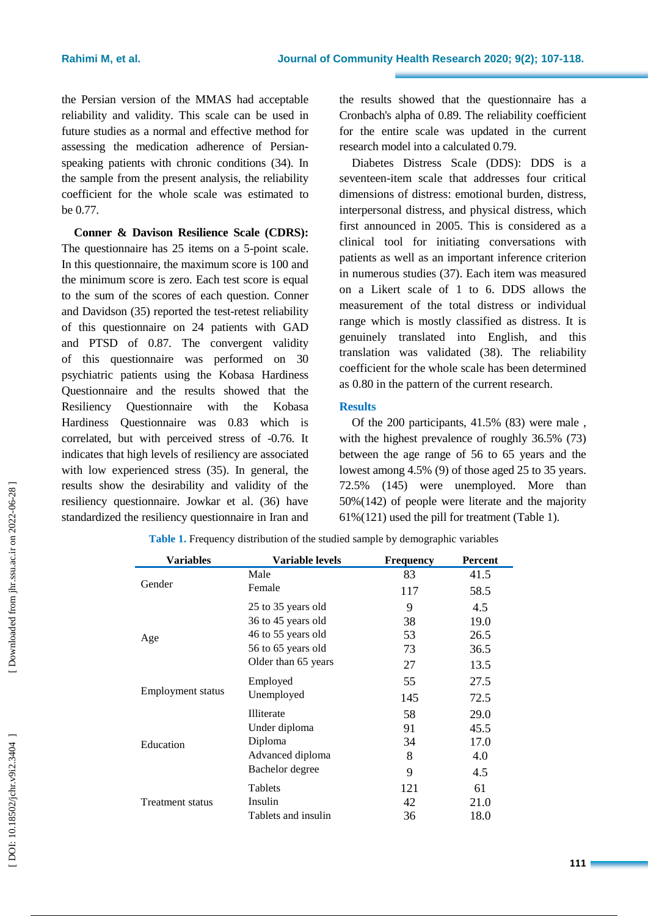the Persian version of the MMAS had acceptable reliability and validity. This scale can be used in future studies as a normal and effective method for assessing the medication adherence of Persian speaking patients with chronic conditions (3 4). In the sample from the present analysis, the reliability coefficient for the whole scale was estimated to be 0.77.

**Conner & Davison Resilience Scale (CDRS):** The questionnaire has 25 items on a 5 -point scale. In this questionnaire, the maximum score is 100 and the minimum score is zero. Each test score is equal to the sum of the scores of each question. Conner and Davidson (3 5 ) reported the test -retest reliability of this questionnaire on 24 patients with GAD and PTSD of 0.87. The convergent validity of this questionnaire was performed on 30 psychiatric patients using the Kobasa Hardiness Questionnaire and the results showed that the Resiliency Questionnaire with the Kobasa Hardiness Questionnaire was 0.83 which is correlated, but with perceived stress of -0.76 . It indicates that high levels of resiliency are associated with low experienced stress (3 5). In general, the results show the desirability and validity of the resiliency questionnaire. Jowkar et al . (3 6 ) have standardized the resiliency questionnaire in Iran and

the results showed that the questionnaire has a Cronbach's alpha of 0.89 . The reliability coefficient for the entire scale was updated in the current research model into a calculated 0.79.

Diabetes Distress Scale (DDS): DDS is a seventeen -item scale that addresses four critical dimensions of distress: emotional burden, distress, interpersonal distress, and physical distress, which first announced in 2005. This is considered as a clinical tool for initiating conversations with patients as well as an important inference criterion in numerous studies (3 7). Each item was measured on a Likert scale of 1 to 6. DDS allows the measurement of the total distress or individual range which is mostly classified as distress. It is genuinely translated into English, and this translation was validated (3 8). The reliability coefficient for the whole scale has been determined as 0.80 in the pattern of the current research.

### **Results**

Of the 200 participants, 41.5% (83) were male , with the highest prevalence of roughly 36.5% (73) between the age range of 56 to 65 years and the lowest among 4.5% (9) of those aged 25 to 35 years. 72.5% (145) were unemployed . More than 50%(142) of people were literate and the majority 61%(121) used the pill for treatment [\(Table](http://ircmj.com/articles/16684.html#tbl27503) 1).

| Variables                | Variable levels     | <b>Frequency</b> | Percent |
|--------------------------|---------------------|------------------|---------|
|                          | Male                | 83               | 41.5    |
| Gender                   | Female              | 117              | 58.5    |
|                          | 25 to 35 years old  | 9                | 4.5     |
|                          | 36 to 45 years old  | 38               | 19.0    |
| Age                      | 46 to 55 years old  | 53               | 26.5    |
|                          | 56 to 65 years old  | 73               | 36.5    |
|                          | Older than 65 years | 27               | 13.5    |
| <b>Employment status</b> | Employed            | 55               | 27.5    |
|                          | Unemployed          | 145              | 72.5    |
|                          | Illiterate          | 58               | 29.0    |
| Education                | Under diploma       | 91               | 45.5    |
|                          | Diploma             | 34               | 17.0    |
|                          | Advanced diploma    | 8                | 4.0     |
|                          | Bachelor degree     | 9                | 4.5     |
|                          | Tablets             | 121              | 61      |
| <b>Treatment status</b>  | Insulin             | 42               | 21.0    |
|                          | Tablets and insulin | 36               | 18.0    |

**Table 1.** Frequency distribution of the studied sample by demographic variables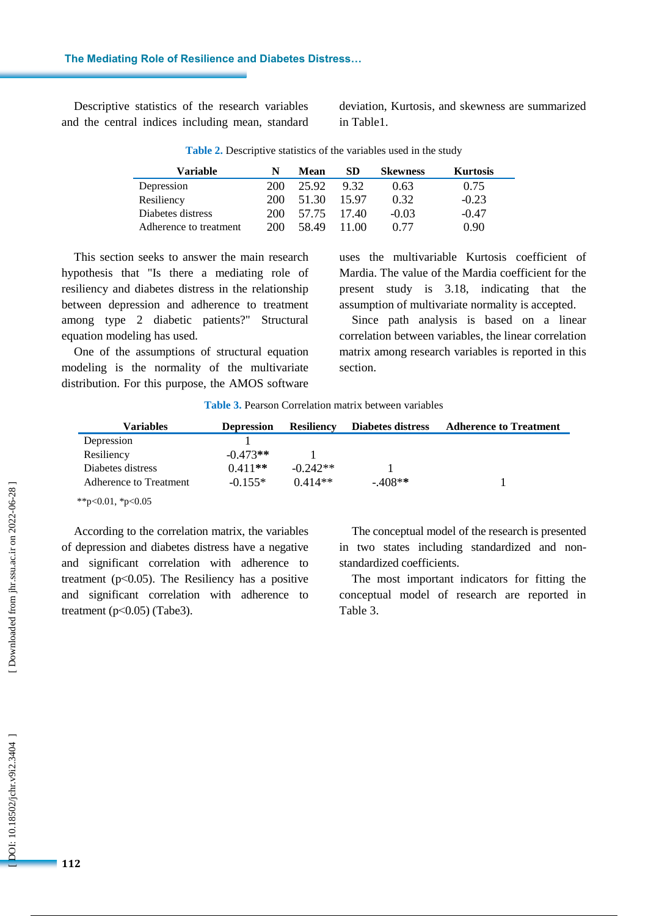**The Mediating Role of Resilience and Diabetes Distress…**

Descriptive statistics of the research variables and the central indices including mean, standard

deviation, Kurtosis , and skewness are summarized in Table1.

| Variable               | N   | Mean  | SD.   | <b>Skewness</b> | <b>Kurtosis</b> |
|------------------------|-----|-------|-------|-----------------|-----------------|
| Depression             | 200 | 25.92 | 9.32  | 0.63            | 0.75            |
| Resiliency             | 200 | 51.30 | 15.97 | 0.32            | $-0.23$         |
| Diabetes distress      | 200 | 57.75 | 17.40 | $-0.03$         | $-0.47$         |
| Adherence to treatment | 200 | 58.49 | 11.00 | 0.77            | 0.90            |

**Table 2.** Descriptive statistics of the variables used in the study

This section seeks to answer the main research hypothesis that "Is there a mediating role of resiliency and diabetes distress in the relationship between depression and adherence to treatment among type 2 diabetic patients?" Structural equation modeling has used.

One of the assumptions of structural equation modeling is the normality of the multivariate distribution. For this purpose, the AMOS software uses the multivariable Kurtosis coefficient of Mardia. The value of the Mardia coefficient for the present study is 3.18, indicating that the assumption of multivariate normality is accepted.

Since path analysis is based on a linear correlation between variables, the linear correlation matrix among research variables is reported in this section.

**Table 3.** Pearson Correlation matrix between variables

| Variables              | <b>Depression</b> | <b>Resiliency</b> | Diabetes distress | <b>Adherence to Treatment</b> |
|------------------------|-------------------|-------------------|-------------------|-------------------------------|
| Depression             |                   |                   |                   |                               |
| Resiliency             | $-0.473**$        |                   |                   |                               |
| Diabetes distress      | $0.411**$         | $-0.242**$        |                   |                               |
| Adherence to Treatment | $-0.155*$         | $0.414**$         | $-408**$          |                               |
| **p<0.01, *p<0.05      |                   |                   |                   |                               |

According to the correlation matrix, the variables of depression and diabetes distress have a negative and significant correlation with adherence to treatment (p<0.05). The Resiliency has a positive and significant correlation with adherence to treatment  $(p<0.05)$  (Tabe3).

The conceptual model of the research is presented in two states including standardized and non standardized coefficients.

The most important indicators for fitting the conceptual model of research are reported in Table 3.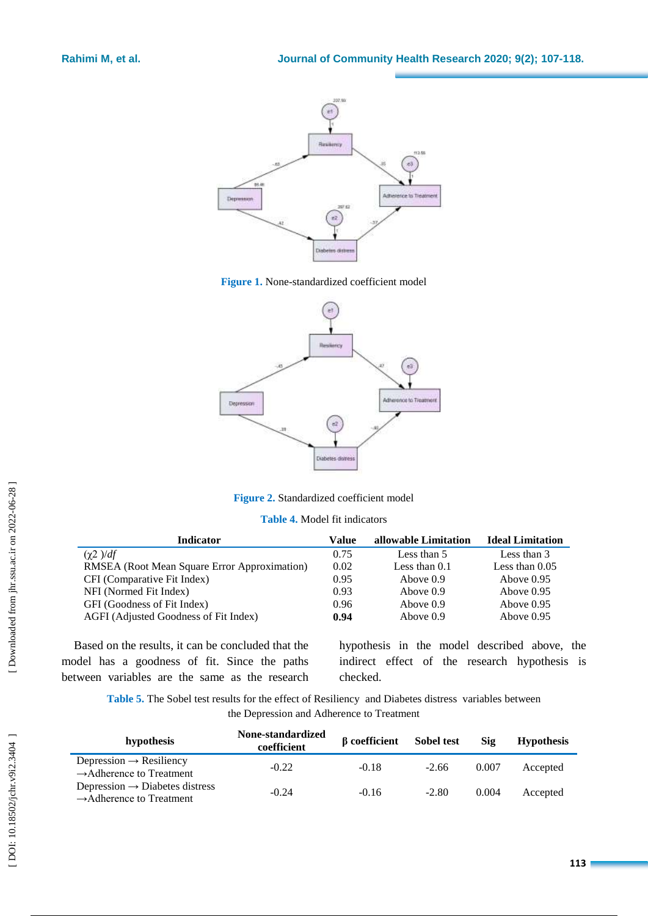

**Figure 1.** None -standardized coefficient model



**Figure 2.** Standardized coefficient model

**Table 4.** Model fit indicators

| <b>Indicator</b>                             | Value | allowable Limitation | <b>Ideal Limitation</b> |
|----------------------------------------------|-------|----------------------|-------------------------|
| $(\gamma 2) / df$                            | 0.75  | Less than 5          | Less than 3             |
| RMSEA (Root Mean Square Error Approximation) | 0.02  | Less than $0.1$      | Less than $0.05$        |
| CFI (Comparative Fit Index)                  | 0.95  | Above 0.9            | Above $0.95$            |
| NFI (Normed Fit Index)                       | 0.93  | Above $0.9$          | Above $0.95$            |
| GFI (Goodness of Fit Index)                  | 0.96  | Above $0.9$          | Above $0.95$            |
| AGFI (Adjusted Goodness of Fit Index)        | 0.94  | Above 0.9            | Above $0.95$            |

Based on the results, it can be concluded that the model has a goodness of fit. Since the paths between variables are the same as the research hypothesis in the model described above, the indirect effect of the research hypothesis is checked.

Table 5. The Sobel test results for the effect of Resiliency and Diabetes distress variables between the Depression and Adherence to Treatment

| hypothesis                                                                         | None-standardized<br>coefficient | <b>B</b> coefficient | <b>Sobel test</b> | Sig   | <b>Hypothesis</b> |
|------------------------------------------------------------------------------------|----------------------------------|----------------------|-------------------|-------|-------------------|
| Depression $\rightarrow$ Resiliency<br>$\rightarrow$ Adherence to Treatment        | $-0.22$                          | $-0.18$              | $-2.66$           | 0.007 | Accepted          |
| Depression $\rightarrow$ Diabetes distress<br>$\rightarrow$ Adherence to Treatment | $-0.24$                          | $-0.16$              | $-2.80$           | 0.004 | Accepted          |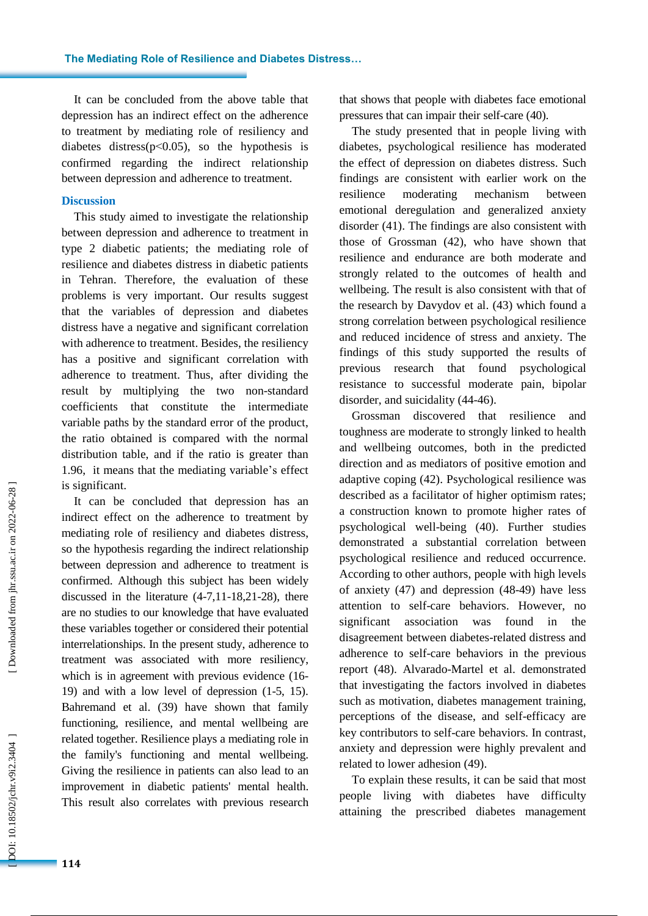It can be concluded from the above table that depression has an indirect effect o n the adherence to treatment by mediating role of resiliency and diabetes distress(p >0.05), so the hypothesis is confirmed regarding the indirect relationship between depression and adherence to treatment.

#### **Discussion**

This study aimed to investigate the relationship between depression and adherence to treatment in type 2 diabetic patients ; the mediating role of resilience and diabetes distress in diabetic patients in Tehran. Therefore, the evaluation of these problems is very important. Our results suggest that the variables of depression and diabetes distress have a negative and significant correlation with adherence to treatment. Besides, the resiliency has a positive and significant correlation with adherence to treatment. Thus, after dividing the result by multiplying the two non -standard coefficients that constitute the intermediate variable paths by the standard error of the product, the ratio obtained is compared with the normal distribution table, and if the ratio is greater than 1.96, it means that the mediating variable's effect is significant.

It can be concluded that depression has an indirect effect on the adherence to treatment by mediating role of resiliency and diabetes distress , so the hypothesis regarding the indirect relationship between depression and adherence to treatment is confirmed. Although this subject has been widely discussed in the literature (4-7,11-18,21-28), there are no studies to our knowledge that have evaluated these variables together or considered their potential interrelationships. In the present study, adherence to treatment was associated with more resiliency, which is in agreement with previous evidence [\(16](https://www.ncbi.nlm.nih.gov/pmc/articles/PMC6710737/#B14)-[19](https://www.ncbi.nlm.nih.gov/pmc/articles/PMC6710737/#B14) ) and with a low level of depression ( [1](https://www.ncbi.nlm.nih.gov/pmc/articles/PMC6710737/#B50) - 5 , [15\)](https://www.ncbi.nlm.nih.gov/pmc/articles/PMC6710737/#B51). Bahremand et al . (39) have shown that family functioning, resilience, and mental wellbeing are related together. Resilience plays a mediating role in the family's functioning and mental wellbeing. Giving the resilience in patients can also lead to an improvement in diabetic patients' mental health. This result also correlates with previous research

that shows that people with diabetes face emotional pressures that can impair their self-care (40).

The study presented that in people living with diabetes , psychological resilience has moderated the effect of depression on diabetes distress. Such findings are consistent with earlier work on the resilience moderating mechanism between emotional deregulation and generalized anxiety disorder (41). The findings are also consistent with those of Grossman (42), who have shown that resilience and endurance are both moderate and strongly related to the outcomes of health and wellbeing. The result is also consistent with that of the research by Davydov et al . (43) which found a strong correlation between psychological resilience and reduced incidence of stress and anxiety. The findings of this study supported the results of previous research that found psychological resistance to successful moderate pain, bipolar disorder, and suicidality (44 -46) .

Grossman discovered that resilience and toughness are moderate to strongly linked to health and wellbeing outcomes, both in the predicted direction and as mediators of positive emotion and adaptive coping (42). Psychological resilience was described as a facilitator of higher optimism rates ; a construction known to promote higher rates of psychological well -being (40). Further studies demonstrated a substantial correlation between psychological resilience and reduced occurrence . According to other authors, people with high levels of anxiety (47) and depression (48 -49) have less attention to self-care behaviors. However, no significant association was found in the disagreement between diabetes -related distress and adherence to self-care behaviors in the previous report (48). Alvarado -Martel et al . demonstrated that investigating the factors involved in diabetes such as motivation, diabetes management training, perceptions of the disease, and self-efficacy are key contributors to self-care behaviors. In contrast, anxiety and depression were highly prevalent and related to lower adhesion (49).

To explain these results , it can be said that most people living with diabetes have difficulty attaining the prescribed diabetes management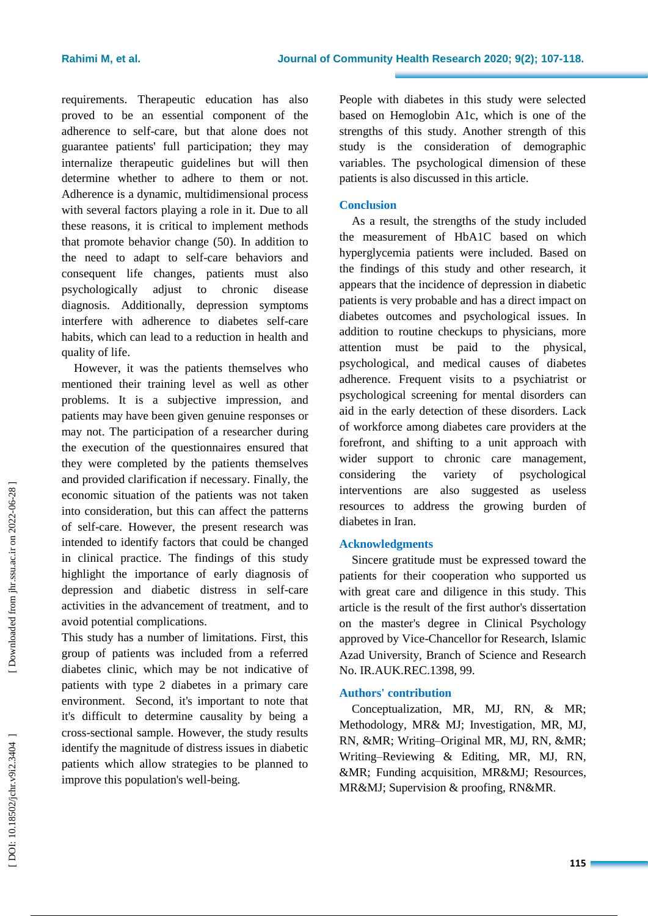requirements. Therapeutic education has also proved to be an essential component of the adherence to self-care, but that alone does not guarantee patients' full participation; they may internalize therapeutic guidelines but will then determine whether to adhere to them or not. Adherence is a dynamic, multidimensional process with several factors playing a role in it . Due to all these reasons, it is critical to implement methods that promote behavior change (50). In addition to the need to adapt to self-care behaviors and consequent life changes, patients must also psychologically adjust to chronic disease diagnosis. Additionally, depression symptoms interfere with adherence to diabetes self-care habits, which can lead to a reduction in health and quality of life.

However, it was the patients themselves who mentioned their training level as well as other problems. It is a subjective impression, and patients may have been given genuine responses or may not. The participation of a researcher during the execution of the questionnaires ensured that they were completed by the patients themselves and provided clarification if necessary. Finally, the economic situation of the patients was not taken into consideration , but this can affect the patterns of self-care. However, the present research was intended to identify factors that could be changed in clinical practice. The findings of this study highlight the importance of early diagnosis of depression and diabetic distress in self-care activities in the advancement of treatment, and to avoid potential complications.

This study has a number of limitations. First, this group of patients was included from a referred diabetes clinic, which may be not indicative of patients with type 2 diabetes in a primary care environment. Second, it's important to note that it's difficult to determine causality by being a cross -sectional sample. However, the study results identify the magnitude of distress issues in diabetic patients which allow strategies to be planned to improve this population's well -being.

People with diabetes in this study were selected based on Hemoglobin A1c, which is one of the strengths of this study. Another strength of this study is the consideration of demographic variables. The psychological dimension of these patients is also discussed in this article.

# **Conclusion**

As a result, the strengths of the study included the measurement of HbA1C based on which hyperglycemia patients were included. Based on the findings of this study and other research, it appears that the incidence of depression in diabetic patients is very probable and has a direct impact on diabetes outcomes and psychological issues. In addition to routine checkups to physicians, more attention must be paid to the physical, psychological , and medical causes of diabetes adherence. Frequent visits to a psychiatrist or psychological screening for mental disorders can aid in the early detection of these disorders. Lack of workforce among diabetes care providers at the forefront, and shifting to a unit approach with wider support to chronic care management, considering the variety of psychological interventions are also suggested as useless resource s to address the growing burden of diabetes in Iran.

# **Acknowledgments**

Sincere gratitude must be expressed toward the patients for their cooperation who supported us with great care and diligence in this study. This article is the result of the first author's dissertation on the master's degree in Clinical Psychology approved by Vice -Chancellor for Research, Islamic Azad University, Branch of Science and Research No. IR.AUK.REC.1398, 99.

# **Authors' contribution**

Conceptualization, MR, MJ, RN, & MR; Methodology, MR & MJ ; Investigation, MR, MJ, RN, &MR; Writing-Original MR, MJ, RN, &MR; Writing –Reviewing & Editing, MR, MJ, RN, &MR ; Funding acquisition , MR &MJ ; Resources, MR&MJ; Supervision & proofing, RN&MR.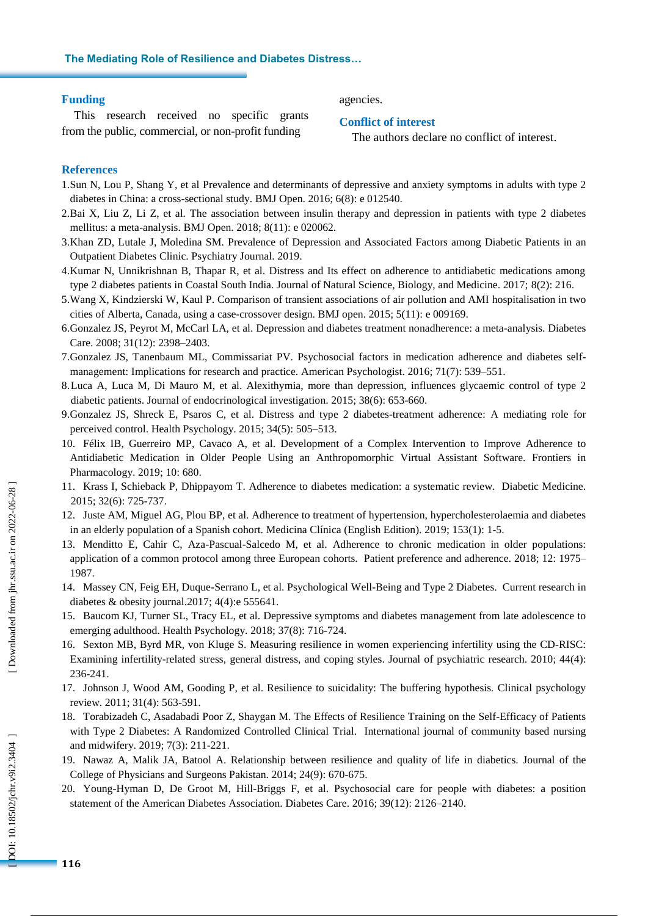#### **The Mediating Role of Resilience and Diabetes Distress…**

#### **Funding**

This research received no specific grants from the public, commercial , or non -profit funding

agencies.

#### **Conflict of interest**

The authors declare no conflict of interest .

#### **References**

- 1.Sun N, Lou P, Shang Y, et al Prevalence and determinants of depressive and anxiety symptoms in adults with type 2 diabetes in China: a cross -sectional study. BMJ Open. 2016; 6(8): e 012540.
- 2.Bai X, Liu Z, Li Z, et al. The association between insulin therapy and depression in patients with type 2 diabetes mellitus: a meta -analysis. BMJ Open. 2018; 8(11): e 020062.
- 3.Khan ZD, Lutale J, Moledina SM. Prevalence of Depression and Associated Factors among Diabetic Patients in an Outpatient Diabetes Clinic. Psychiatry Journal. 2019.
- 4.Kumar N, Unnikrishnan B, Thapar R, et al. Distress and Its effect on adherence to antidiabetic medications among type 2 diabetes patients in Coastal South India. Journal of Natural Science, Biology, and Medicine. 2017; 8(2): 216.
- 5.Wang X, Kindzierski W, Kaul P. Comparison of transient associations of air pollution and AMI hospitalisation in two cities of Alberta, Canada, using a case -crossover design. BMJ open. 2015; 5(11): e 009169.
- 6.Gonzalez JS, Peyrot M, McCarl LA, et al. Depression and diabetes treatment nonadherence: a meta -analysis. Diabetes Care. 2008; 31(12): 2398 –2403.
- 7.Gonzalez JS, Tanenbaum ML, Commissariat PV. Psychosocial factors in medication adherence and diabetes selfmanagement: Implications for research and practice. American Psychologist. 2016; 71(7): 539–551.
- 8[.Luca](https://www.ncbi.nlm.nih.gov/pubmed/?term=Luca%20A%5BAuthor%5D&cauthor=true&cauthor_uid=25596663) A , [Luca](https://www.ncbi.nlm.nih.gov/pubmed/?term=Luca%20M%5BAuthor%5D&cauthor=true&cauthor_uid=25596663) M , Di [Mauro](https://www.ncbi.nlm.nih.gov/pubmed/?term=Di%20Mauro%20M%5BAuthor%5D&cauthor=true&cauthor_uid=25596663) M , et al . Alexithymia, more than depression, influences glycaemic control of type 2 diabetic patients. Journal of [endocrinological](https://www.ncbi.nlm.nih.gov/pubmed/25596663) investigation. 2015; 38(6): 653 -660.
- 9.Gonzalez JS, Shreck E, Psaros C, et al. Distress and type 2 diabetes -treatment adherence: A mediating role for perceived control. Health Psychology. 2015; 34(5): 505 –513.
- 10. Félix IB, Guerreiro MP, Cavaco A, et al. Development of a Complex Intervention to Improve Adherence to Antidiabetic Medication in Older People Using an Anthropomorphic Virtual Assistant Software. Frontiers in Pharmacology. 2019; 10: 680 .
- 11. [Krass](https://www.ncbi.nlm.nih.gov/pubmed/?term=Krass%20I%5BAuthor%5D&cauthor=true&cauthor_uid=25440507) I , [Schieback](https://www.ncbi.nlm.nih.gov/pubmed/?term=Schieback%20P%5BAuthor%5D&cauthor=true&cauthor_uid=25440507) P , [Dhippayom](https://www.ncbi.nlm.nih.gov/pubmed/?term=Dhippayom%20T%5BAuthor%5D&cauthor=true&cauthor_uid=25440507) T . Adherence to diabetes medication: a systematic review. Diabetic [Medicine.](https://www.ncbi.nlm.nih.gov/pubmed/25440507) 2015; 32(6): 725 -737.
- 12. Juste AM, Miguel AG, Plou BP, et al. Adherence to treatment of hypertension, hypercholesterolaemia and diabetes in an elderly population of a Spanish cohort. Medicina Clínica (English Edition). 2019; 153(1): 1 -5.
- 13. Menditto E, Cahir C, Aza -Pascual -Salcedo M, et al. Adherence to chronic medication in older populations: application of a common protocol among three European cohorts. Patient preference and adherence. 2018; 12: 1975 – 1987.
- 14. Massey CN, Feig EH, Duque -Serrano L, et al. Psychological Well -Being and Type 2 Diabetes. Current research in diabetes & obesity journal.2017; 4(4):e 555641.
- 15. Baucom KJ, Turner SL, Tracy EL, et al. Depressive symptoms and diabetes management from late adolescence to emerging adulthood. Health Psychology. 2018; 37(8): 716 -724.
- 16. Sexton MB, Byrd MR, von Kluge S. Measuring resilience in women experiencing infertility using the CD -RISC: Examining infertility-related stress, general distress, and coping styles. Journal of psychiatric research. 2010; 44(4): 236 -241.
- 17. Johnson J, Wood AM, Gooding P, et al. Resilience to suicidality: The buffering hypothesis. Clinical psychology review. 2011; 31(4): 563 -591.
- 18. Torabizadeh C, Asadabadi Poor Z, Shaygan M. The Effects of Resilience Training on the Self-Efficacy of Patients with Type 2 Diabetes: A Randomized Controlled Clinical Trial. International journal of community based nursing and midwifery. 2019; 7(3): 211 -221.
- 19. Nawaz A, Malik JA, Batool A. Relationship between resilience and quality of life in diabetics. Journal of the College of Physicians and Surgeons Pakistan. 2014; 24(9): 670-675.
- 20. Young -Hyman D, De Groot M, Hill -Briggs F, et al. Psychosocial care for people with diabetes: a position statement of the American Diabetes Association. Diabetes Care. 2016; 39(12): 2126 –2140.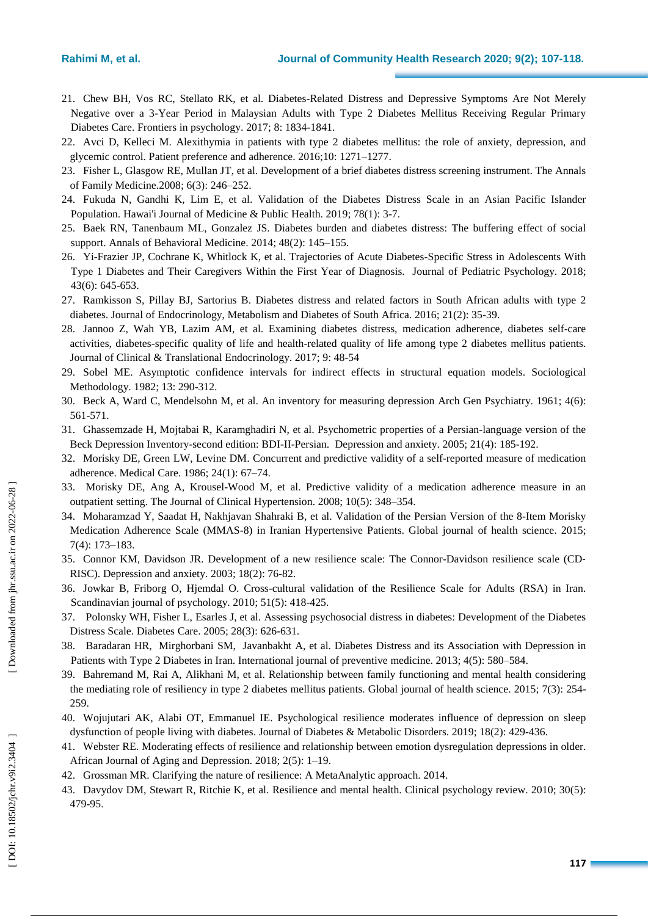- 21. [Chew](https://www.ncbi.nlm.nih.gov/pubmed/?term=Chew%20BH%5BAuthor%5D&cauthor=true&cauthor_uid=29089913) BH , [Vos](https://www.ncbi.nlm.nih.gov/pubmed/?term=Vos%20RC%5BAuthor%5D&cauthor=true&cauthor_uid=29089913) RC , [Stellato](https://www.ncbi.nlm.nih.gov/pubmed/?term=Stellato%20RK%5BAuthor%5D&cauthor=true&cauthor_uid=29089913) RK , et al . Diabetes -Related Distress and Depressive Symptoms Are Not Merely Negative over a 3 -Year Period in Malaysian Adults with Type 2 Diabetes Mellitus Receiving Regular Primary Diabetes Care. Frontiers in [psychology.](https://www.ncbi.nlm.nih.gov/pubmed/29089913) 2017; 8: 1834 -1841.
- 22. Avci D, Kelleci M. Alexithymia in patients with type 2 diabetes mellitus: the role of anxiety, depression, and glycemic control. Patient preference and adherence. 2016;10: 1271 –1277.
- 23. Fisher L, Glasgow RE, Mullan JT, et al. Development of a brief diabetes distress screening instrument. The Annals of Family Medicine.2008; 6(3): 246 –252.
- 24. [Fukuda](https://www.ncbi.nlm.nih.gov/pubmed/?term=Fukuda%20N%5BAuthor%5D&cauthor=true&cauthor_uid=30697468) N , [Gandhi](https://www.ncbi.nlm.nih.gov/pubmed/?term=Gandhi%20K%5BAuthor%5D&cauthor=true&cauthor_uid=30697468) K , [Lim](https://www.ncbi.nlm.nih.gov/pubmed/?term=Lim%20E%5BAuthor%5D&cauthor=true&cauthor_uid=30697468) E , [et](https://www.ncbi.nlm.nih.gov/pubmed/?term=Leake%20A%5BAuthor%5D&cauthor=true&cauthor_uid=30697468) al. Validation of the Diabetes Distress Scale in an Asian Pacific Islander Population. Hawai'i Journal of [Medicine](https://www.ncbi.nlm.nih.gov/pubmed/30697468) & Public Health. 2019; 78(1): 3 -7.
- 25. [Baek](https://www.ncbi.nlm.nih.gov/pubmed/?term=Baek%20RN%5BAuthor%5D&cauthor=true&cauthor_uid=24550072) RN , [Tanenbaum](https://www.ncbi.nlm.nih.gov/pubmed/?term=Tanenbaum%20ML%5BAuthor%5D&cauthor=true&cauthor_uid=24550072) ML , [Gonzalez](https://www.ncbi.nlm.nih.gov/pubmed/?term=Gonzalez%20JS%5BAuthor%5D&cauthor=true&cauthor_uid=24550072) JS . Diabetes burden and diabetes distress: The [buffering](https://www.ncbi.nlm.nih.gov/pmc/articles/PMC4249652/) effect of social [support](https://www.ncbi.nlm.nih.gov/pmc/articles/PMC4249652/) . Annals of Behavioral Medicine. 2014; 48(2): 145 –155.
- 26. Yi [-Frazier](https://www.ncbi.nlm.nih.gov/pubmed/?term=Yi-Frazier%20JP%5BAuthor%5D&cauthor=true&cauthor_uid=29373703) JP , [Cochrane](https://www.ncbi.nlm.nih.gov/pubmed/?term=Cochrane%20K%5BAuthor%5D&cauthor=true&cauthor_uid=29373703) K , [Whitlock](https://www.ncbi.nlm.nih.gov/pubmed/?term=Whitlock%20K%5BAuthor%5D&cauthor=true&cauthor_uid=29373703) K , et al . Trajectories of Acute Diabetes -Specific Stress in Adolescents With Type 1 Diabetes and Their Caregivers Within the First Year of Diagnosis. Journal of Pediatric [Psychology.](https://www.ncbi.nlm.nih.gov/pubmed/29373703) 2018; 43(6): 645 -653.
- 27. Ramkisson S, Pillay BJ, Sartorius B. Diabetes distress and related factors in South African adults with type 2 diabetes. Journal of Endocrinology, Metabolism and Diabetes of South Africa. 2016; 21(2): 35 -39.
- 28. Jannoo Z, Wah YB, Lazim AM, et al. Examining diabetes distress, medication adherence, diabetes self-care activities, diabetes -specific quality of life and health -related quality of life among type 2 diabetes mellitus patients. Journal of Clinical & Translational Endocrinology. [2017;](https://www.sciencedirect.com/science/journal/22146237/9/supp/C) 9: 48-54
- 29. Sobel ME. Asymptotic confidence intervals for indirect effects in structural equation models. Sociological Methodology. 1982; 13: 290 -312.
- 30. Beck A, Ward C, Mendelsohn M, et al. An inventory for measuring depression Arch Gen Psychiatry. 1961; 4(6): 561 -571.
- 31. Ghassemzade H, Mojtabai R, Karamghadiri N, et al. Psychometric properties of a Persian -language version of the Beck Depression Inventory-second edition: BDI-II-Persian. Depression and anxiety. 2005; 21(4): 185-192.
- 32. Morisky DE, Green LW, Levine DM. Concurrent and predictive validity of a self-reported measure of medication adherence. Medical Care. 1986; 24(1): 67 –74.
- 33. Morisky DE, Ang A, Krousel -Wood M, et al. Predictive validity of a medication adherence measure in an outpatient setting. The Journal of Clinical Hypertension. 2008; 10(5): 348 –354.
- 34. Moharamzad Y, Saadat H, Nakhjavan Shahraki B, et al. Validation of the Persian Version of the 8-Item Morisky Medication Adherence Scale (MMAS -8) in Iranian Hypertensive Patients. Global journal of health science. 2015; 7(4): 173 –183.
- 35. Connor KM, Davidson JR. Development of a new resilience scale: The Connor -Davidson resilience scale (CD ‐ RISC). Depression and anxiety. 2003; 18(2): 76 -82.
- 36. [Jowkar](https://www.ncbi.nlm.nih.gov/pubmed/?term=Jowkar%20B%5BAuthor%5D&cauthor=true&cauthor_uid=20149146) B , [Friborg](https://www.ncbi.nlm.nih.gov/pubmed/?term=Friborg%20O%5BAuthor%5D&cauthor=true&cauthor_uid=20149146) O , [Hjemdal](https://www.ncbi.nlm.nih.gov/pubmed/?term=Hjemdal%20O%5BAuthor%5D&cauthor=true&cauthor_uid=20149146) O . Cros s -cultural validation of the Resilience Scale for Adults (RSA) in Iran. [Scandinavian](https://www.ncbi.nlm.nih.gov/pubmed/20149146) journal of psychology. 2010; 51(5): 418-425.
- 37. Polonsky WH, Fisher L, Esarles J, et al. Assessing psychosocial distress in diabetes: Development of the Diabetes Distress Scale. Diabetes Care. 2005; 28(3): 626 -631.
- 38. [Baradaran](https://www.ncbi.nlm.nih.gov/pubmed/?term=Baradaran%20HR%5BAuthor%5D&cauthor=true&cauthor_uid=23930169) HR, [Mirghorbani](https://www.ncbi.nlm.nih.gov/pubmed/?term=Mirghorbani%20SM%5BAuthor%5D&cauthor=true&cauthor_uid=23930169) SM, [Javanbakht](https://www.ncbi.nlm.nih.gov/pubmed/?term=Javanbakht%20A%5BAuthor%5D&cauthor=true&cauthor_uid=23930169) A, et al. Diabetes Distress and its Association with Depression in Patients with Type 2 Diabetes in Iran. International journal of preventive medicine. 2013; 4(5): 580 –584.
- 39. Bahremand M, Rai A, Alikhani M, et al. Relationship between family functioning and mental health considering the mediating role of resiliency in type 2 diabetes mellitus patients. Global journal of health science. 2015; 7(3): 254-259.
- 40. Wojujutari AK, Alabi OT, Emmanuel IE. Psychological resilience moderates influence of depression on sleep dysfunction of people living with diabetes. Journal of Diabetes & Metabolic Disorders. 2019; 18(2): 429 -436.
- 41. Webster RE. Moderating effects of resilience and relationship between emotion dysregulation depressions in older. African Journal of Aging and Depression. 2018; 2(5): 1 –19.
- 42. Grossman MR. Clarifying the nature of resilience: A MetaAnalytic approach. 2014.
- 43. Davydov DM, Stewart R, Ritchie K, et al. Resilience and mental health. Clinical psychology review. 2010; 30(5): 479 -95.